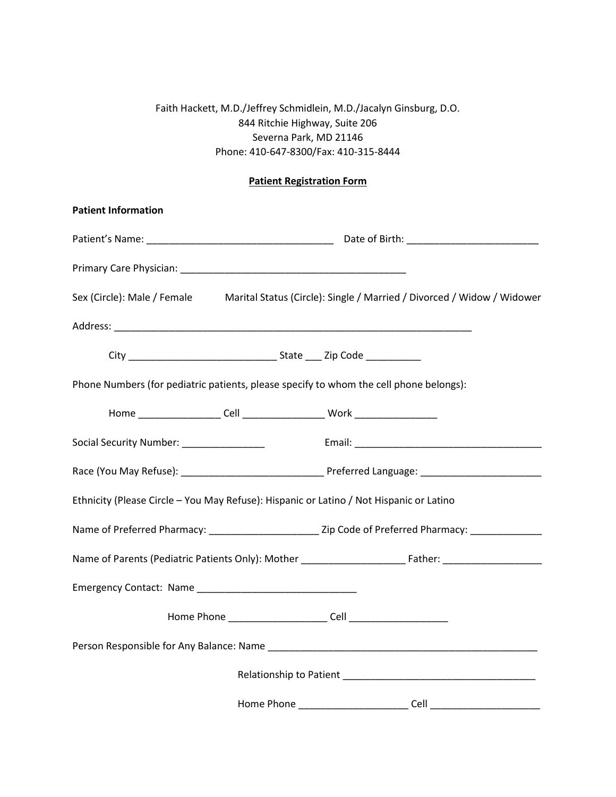## Faith Hackett, M.D./Jeffrey Schmidlein, M.D./Jacalyn Ginsburg, D.O. 844 Ritchie Highway, Suite 206 Severna Park, MD 21146 Phone: 410-647-8300/Fax: 410-315-8444

## **Patient Registration Form**

| <b>Patient Information</b>                                                                         |  |
|----------------------------------------------------------------------------------------------------|--|
|                                                                                                    |  |
|                                                                                                    |  |
| Sex (Circle): Male / Female Marital Status (Circle): Single / Married / Divorced / Widow / Widower |  |
|                                                                                                    |  |
|                                                                                                    |  |
| Phone Numbers (for pediatric patients, please specify to whom the cell phone belongs):             |  |
|                                                                                                    |  |
| Social Security Number: ________________                                                           |  |
|                                                                                                    |  |
| Ethnicity (Please Circle - You May Refuse): Hispanic or Latino / Not Hispanic or Latino            |  |
|                                                                                                    |  |
|                                                                                                    |  |
|                                                                                                    |  |
|                                                                                                    |  |
|                                                                                                    |  |
|                                                                                                    |  |
|                                                                                                    |  |